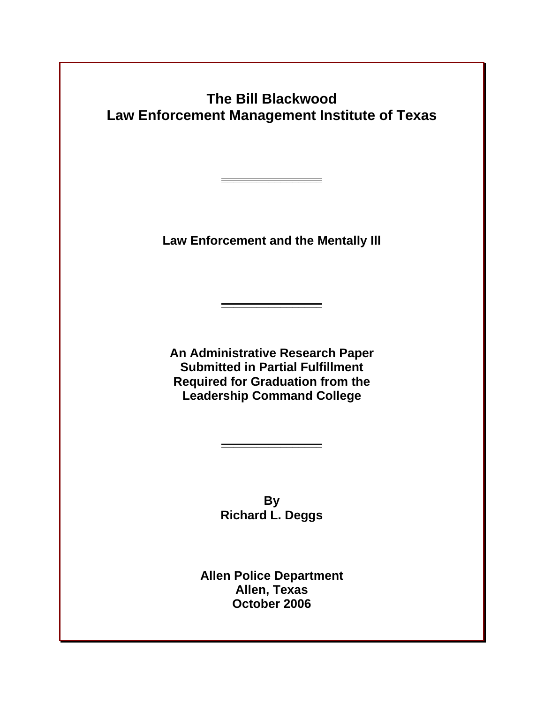**The Bill Blackwood Law Enforcement Management Institute of Texas** 

**Law Enforcement and the Mentally Ill** 

**\_\_\_\_\_\_\_\_\_\_\_\_\_\_\_\_\_**

**\_\_\_\_\_\_\_\_\_\_\_\_\_\_\_\_\_**

**An Administrative Research Paper Submitted in Partial Fulfillment Required for Graduation from the Leadership Command College**

> **By Richard L. Deggs**

**\_\_\_\_\_\_\_\_\_\_\_\_\_\_\_\_\_**

**Allen Police Department Allen, Texas October 2006**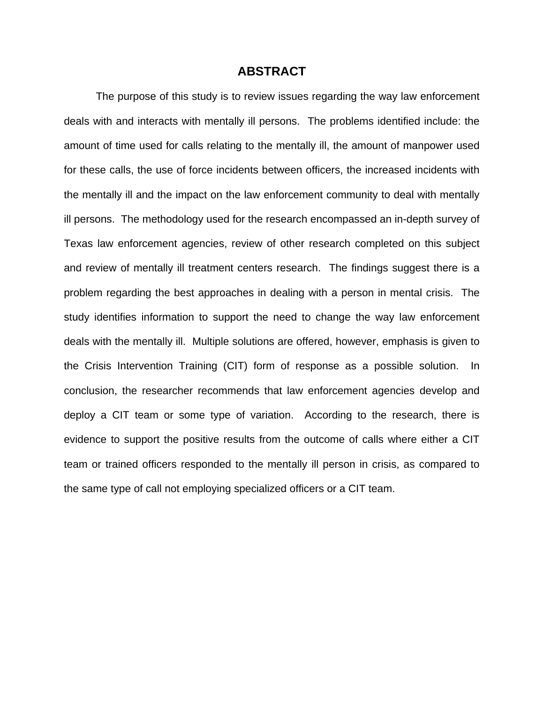# **ABSTRACT**

The purpose of this study is to review issues regarding the way law enforcement deals with and interacts with mentally ill persons. The problems identified include: the amount of time used for calls relating to the mentally ill, the amount of manpower used for these calls, the use of force incidents between officers, the increased incidents with the mentally ill and the impact on the law enforcement community to deal with mentally ill persons. The methodology used for the research encompassed an in-depth survey of Texas law enforcement agencies, review of other research completed on this subject and review of mentally ill treatment centers research. The findings suggest there is a problem regarding the best approaches in dealing with a person in mental crisis. The study identifies information to support the need to change the way law enforcement deals with the mentally ill. Multiple solutions are offered, however, emphasis is given to the Crisis Intervention Training (CIT) form of response as a possible solution. In conclusion, the researcher recommends that law enforcement agencies develop and deploy a CIT team or some type of variation. According to the research, there is evidence to support the positive results from the outcome of calls where either a CIT team or trained officers responded to the mentally ill person in crisis, as compared to the same type of call not employing specialized officers or a CIT team.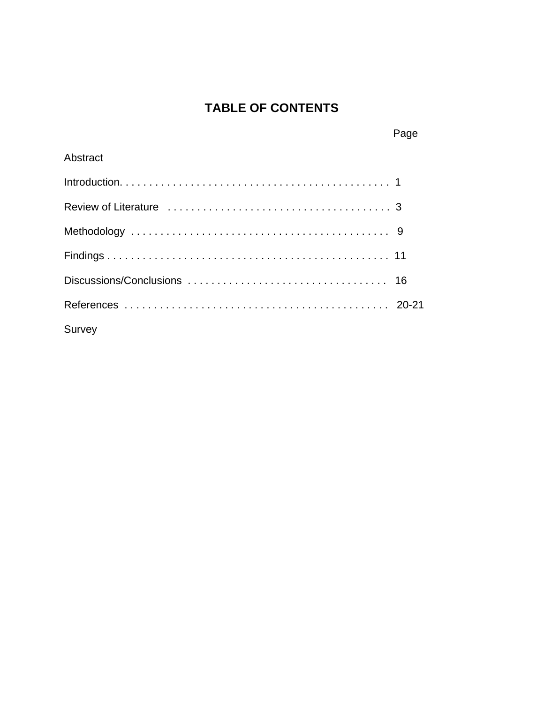# **TABLE OF CONTENTS**

| Abstract |  |
|----------|--|
|          |  |
|          |  |
|          |  |
|          |  |
|          |  |
|          |  |
| Survey   |  |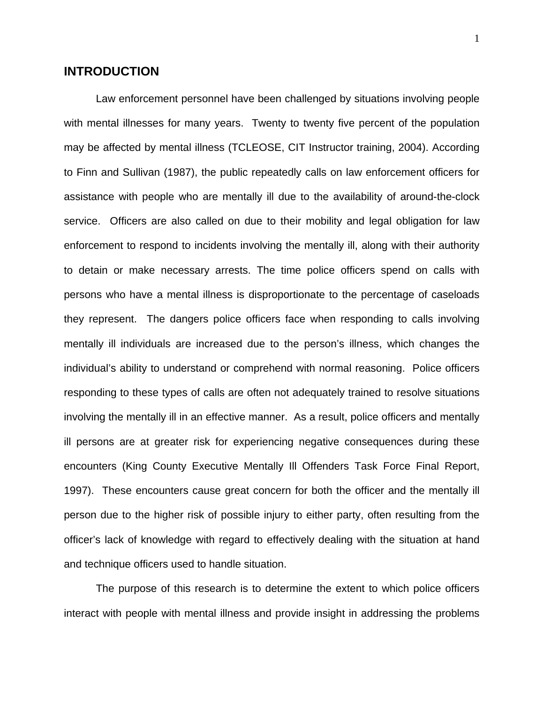# **INTRODUCTION**

Law enforcement personnel have been challenged by situations involving people with mental illnesses for many years. Twenty to twenty five percent of the population may be affected by mental illness (TCLEOSE, CIT Instructor training, 2004). According to Finn and Sullivan (1987), the public repeatedly calls on law enforcement officers for assistance with people who are mentally ill due to the availability of around-the-clock service. Officers are also called on due to their mobility and legal obligation for law enforcement to respond to incidents involving the mentally ill, along with their authority to detain or make necessary arrests. The time police officers spend on calls with persons who have a mental illness is disproportionate to the percentage of caseloads they represent. The dangers police officers face when responding to calls involving mentally ill individuals are increased due to the person's illness, which changes the individual's ability to understand or comprehend with normal reasoning. Police officers responding to these types of calls are often not adequately trained to resolve situations involving the mentally ill in an effective manner. As a result, police officers and mentally ill persons are at greater risk for experiencing negative consequences during these encounters (King County Executive Mentally Ill Offenders Task Force Final Report, 1997). These encounters cause great concern for both the officer and the mentally ill person due to the higher risk of possible injury to either party, often resulting from the officer's lack of knowledge with regard to effectively dealing with the situation at hand and technique officers used to handle situation.

The purpose of this research is to determine the extent to which police officers interact with people with mental illness and provide insight in addressing the problems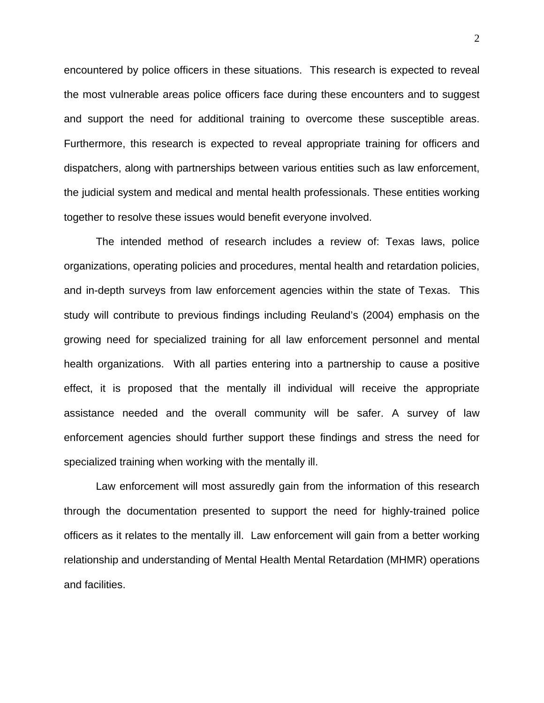encountered by police officers in these situations. This research is expected to reveal the most vulnerable areas police officers face during these encounters and to suggest and support the need for additional training to overcome these susceptible areas. Furthermore, this research is expected to reveal appropriate training for officers and dispatchers, along with partnerships between various entities such as law enforcement, the judicial system and medical and mental health professionals. These entities working together to resolve these issues would benefit everyone involved.

The intended method of research includes a review of: Texas laws, police organizations, operating policies and procedures, mental health and retardation policies, and in-depth surveys from law enforcement agencies within the state of Texas. This study will contribute to previous findings including Reuland's (2004) emphasis on the growing need for specialized training for all law enforcement personnel and mental health organizations. With all parties entering into a partnership to cause a positive effect, it is proposed that the mentally ill individual will receive the appropriate assistance needed and the overall community will be safer. A survey of law enforcement agencies should further support these findings and stress the need for specialized training when working with the mentally ill.

Law enforcement will most assuredly gain from the information of this research through the documentation presented to support the need for highly-trained police officers as it relates to the mentally ill. Law enforcement will gain from a better working relationship and understanding of Mental Health Mental Retardation (MHMR) operations and facilities.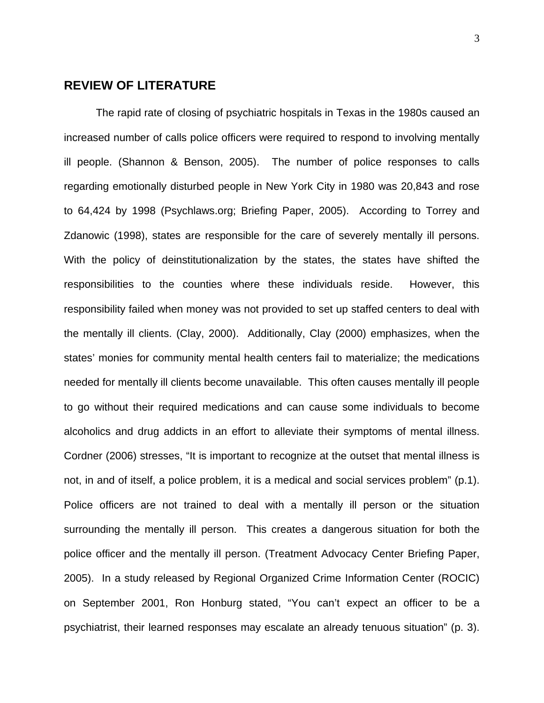# **REVIEW OF LITERATURE**

 The rapid rate of closing of psychiatric hospitals in Texas in the 1980s caused an increased number of calls police officers were required to respond to involving mentally ill people. (Shannon & Benson, 2005). The number of police responses to calls regarding emotionally disturbed people in New York City in 1980 was 20,843 and rose to 64,424 by 1998 (Psychlaws.org; Briefing Paper, 2005). According to Torrey and Zdanowic (1998), states are responsible for the care of severely mentally ill persons. With the policy of deinstitutionalization by the states, the states have shifted the responsibilities to the counties where these individuals reside. However, this responsibility failed when money was not provided to set up staffed centers to deal with the mentally ill clients. (Clay, 2000). Additionally, Clay (2000) emphasizes, when the states' monies for community mental health centers fail to materialize; the medications needed for mentally ill clients become unavailable. This often causes mentally ill people to go without their required medications and can cause some individuals to become alcoholics and drug addicts in an effort to alleviate their symptoms of mental illness. Cordner (2006) stresses, "It is important to recognize at the outset that mental illness is not, in and of itself, a police problem, it is a medical and social services problem" (p.1). Police officers are not trained to deal with a mentally ill person or the situation surrounding the mentally ill person. This creates a dangerous situation for both the police officer and the mentally ill person. (Treatment Advocacy Center Briefing Paper, 2005). In a study released by Regional Organized Crime Information Center (ROCIC) on September 2001, Ron Honburg stated, "You can't expect an officer to be a psychiatrist, their learned responses may escalate an already tenuous situation" (p. 3).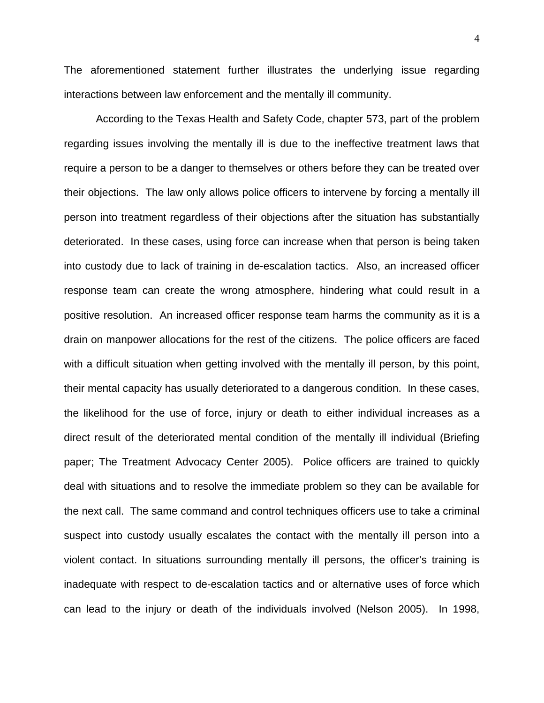The aforementioned statement further illustrates the underlying issue regarding interactions between law enforcement and the mentally ill community.

 According to the Texas Health and Safety Code, chapter 573, part of the problem regarding issues involving the mentally ill is due to the ineffective treatment laws that require a person to be a danger to themselves or others before they can be treated over their objections. The law only allows police officers to intervene by forcing a mentally ill person into treatment regardless of their objections after the situation has substantially deteriorated. In these cases, using force can increase when that person is being taken into custody due to lack of training in de-escalation tactics. Also, an increased officer response team can create the wrong atmosphere, hindering what could result in a positive resolution. An increased officer response team harms the community as it is a drain on manpower allocations for the rest of the citizens. The police officers are faced with a difficult situation when getting involved with the mentally ill person, by this point, their mental capacity has usually deteriorated to a dangerous condition. In these cases, the likelihood for the use of force, injury or death to either individual increases as a direct result of the deteriorated mental condition of the mentally ill individual (Briefing paper; The Treatment Advocacy Center 2005). Police officers are trained to quickly deal with situations and to resolve the immediate problem so they can be available for the next call. The same command and control techniques officers use to take a criminal suspect into custody usually escalates the contact with the mentally ill person into a violent contact. In situations surrounding mentally ill persons, the officer's training is inadequate with respect to de-escalation tactics and or alternative uses of force which can lead to the injury or death of the individuals involved (Nelson 2005). In 1998,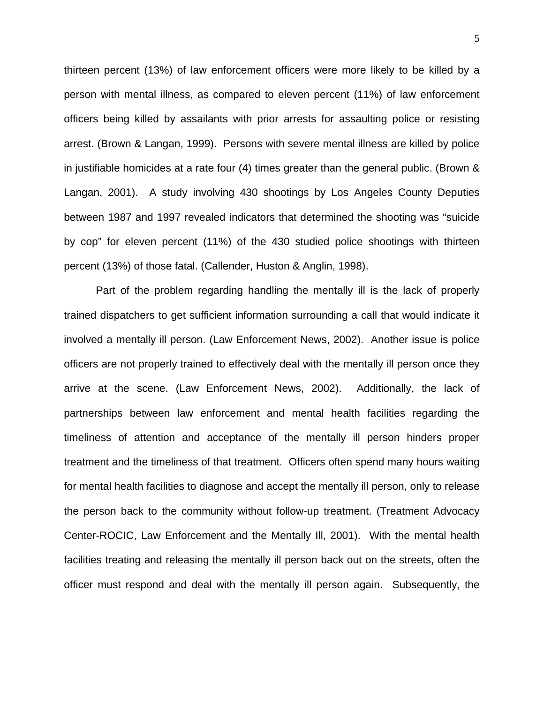thirteen percent (13%) of law enforcement officers were more likely to be killed by a person with mental illness, as compared to eleven percent (11%) of law enforcement officers being killed by assailants with prior arrests for assaulting police or resisting arrest. (Brown & Langan, 1999). Persons with severe mental illness are killed by police in justifiable homicides at a rate four (4) times greater than the general public. (Brown & Langan, 2001). A study involving 430 shootings by Los Angeles County Deputies between 1987 and 1997 revealed indicators that determined the shooting was "suicide by cop" for eleven percent (11%) of the 430 studied police shootings with thirteen percent (13%) of those fatal. (Callender, Huston & Anglin, 1998).

 Part of the problem regarding handling the mentally ill is the lack of properly trained dispatchers to get sufficient information surrounding a call that would indicate it involved a mentally ill person. (Law Enforcement News, 2002). Another issue is police officers are not properly trained to effectively deal with the mentally ill person once they arrive at the scene. (Law Enforcement News, 2002). Additionally, the lack of partnerships between law enforcement and mental health facilities regarding the timeliness of attention and acceptance of the mentally ill person hinders proper treatment and the timeliness of that treatment. Officers often spend many hours waiting for mental health facilities to diagnose and accept the mentally ill person, only to release the person back to the community without follow-up treatment. (Treatment Advocacy Center-ROCIC, Law Enforcement and the Mentally Ill, 2001). With the mental health facilities treating and releasing the mentally ill person back out on the streets, often the officer must respond and deal with the mentally ill person again. Subsequently, the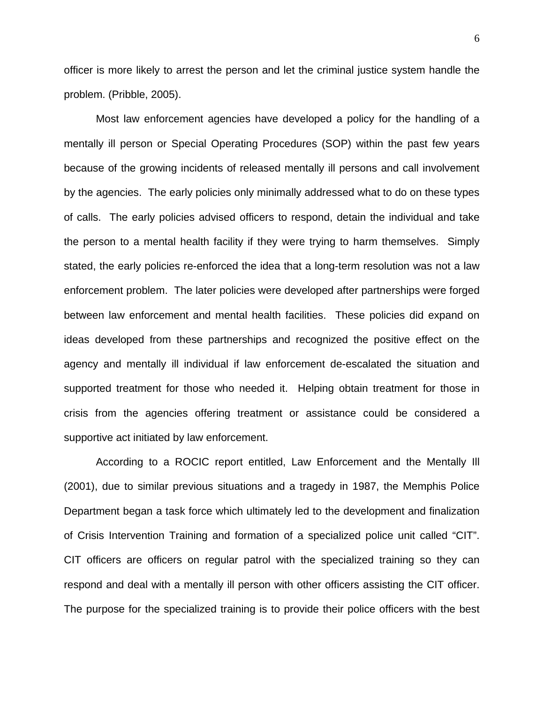officer is more likely to arrest the person and let the criminal justice system handle the problem. (Pribble, 2005).

Most law enforcement agencies have developed a policy for the handling of a mentally ill person or Special Operating Procedures (SOP) within the past few years because of the growing incidents of released mentally ill persons and call involvement by the agencies. The early policies only minimally addressed what to do on these types of calls. The early policies advised officers to respond, detain the individual and take the person to a mental health facility if they were trying to harm themselves. Simply stated, the early policies re-enforced the idea that a long-term resolution was not a law enforcement problem. The later policies were developed after partnerships were forged between law enforcement and mental health facilities. These policies did expand on ideas developed from these partnerships and recognized the positive effect on the agency and mentally ill individual if law enforcement de-escalated the situation and supported treatment for those who needed it. Helping obtain treatment for those in crisis from the agencies offering treatment or assistance could be considered a supportive act initiated by law enforcement.

According to a ROCIC report entitled, Law Enforcement and the Mentally Ill (2001), due to similar previous situations and a tragedy in 1987, the Memphis Police Department began a task force which ultimately led to the development and finalization of Crisis Intervention Training and formation of a specialized police unit called "CIT". CIT officers are officers on regular patrol with the specialized training so they can respond and deal with a mentally ill person with other officers assisting the CIT officer. The purpose for the specialized training is to provide their police officers with the best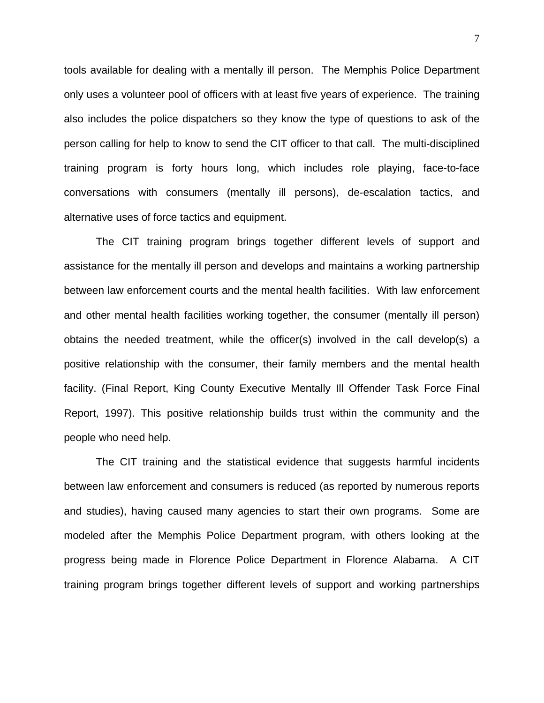tools available for dealing with a mentally ill person. The Memphis Police Department only uses a volunteer pool of officers with at least five years of experience. The training also includes the police dispatchers so they know the type of questions to ask of the person calling for help to know to send the CIT officer to that call. The multi-disciplined training program is forty hours long, which includes role playing, face-to-face conversations with consumers (mentally ill persons), de-escalation tactics, and alternative uses of force tactics and equipment.

The CIT training program brings together different levels of support and assistance for the mentally ill person and develops and maintains a working partnership between law enforcement courts and the mental health facilities. With law enforcement and other mental health facilities working together, the consumer (mentally ill person) obtains the needed treatment, while the officer(s) involved in the call develop(s) a positive relationship with the consumer, their family members and the mental health facility. (Final Report, King County Executive Mentally Ill Offender Task Force Final Report, 1997). This positive relationship builds trust within the community and the people who need help.

The CIT training and the statistical evidence that suggests harmful incidents between law enforcement and consumers is reduced (as reported by numerous reports and studies), having caused many agencies to start their own programs. Some are modeled after the Memphis Police Department program, with others looking at the progress being made in Florence Police Department in Florence Alabama. A CIT training program brings together different levels of support and working partnerships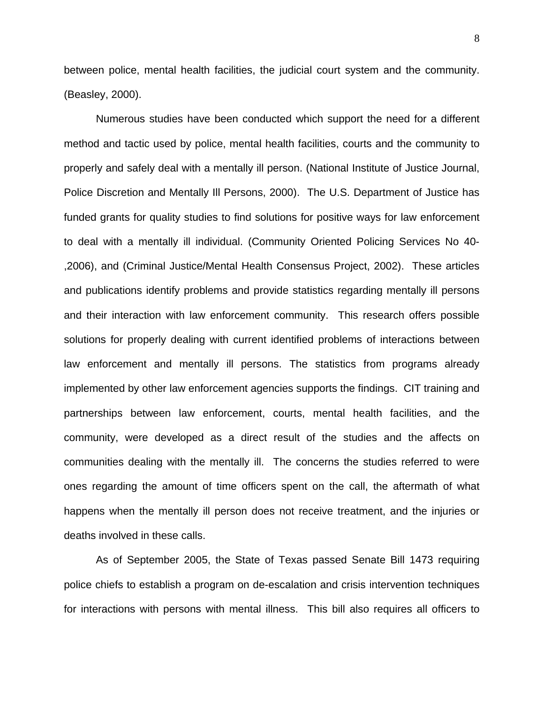between police, mental health facilities, the judicial court system and the community. (Beasley, 2000).

Numerous studies have been conducted which support the need for a different method and tactic used by police, mental health facilities, courts and the community to properly and safely deal with a mentally ill person. (National Institute of Justice Journal, Police Discretion and Mentally Ill Persons, 2000). The U.S. Department of Justice has funded grants for quality studies to find solutions for positive ways for law enforcement to deal with a mentally ill individual. (Community Oriented Policing Services No 40- ,2006), and (Criminal Justice/Mental Health Consensus Project, 2002). These articles and publications identify problems and provide statistics regarding mentally ill persons and their interaction with law enforcement community. This research offers possible solutions for properly dealing with current identified problems of interactions between law enforcement and mentally ill persons. The statistics from programs already implemented by other law enforcement agencies supports the findings. CIT training and partnerships between law enforcement, courts, mental health facilities, and the community, were developed as a direct result of the studies and the affects on communities dealing with the mentally ill. The concerns the studies referred to were ones regarding the amount of time officers spent on the call, the aftermath of what happens when the mentally ill person does not receive treatment, and the injuries or deaths involved in these calls.

As of September 2005, the State of Texas passed Senate Bill 1473 requiring police chiefs to establish a program on de-escalation and crisis intervention techniques for interactions with persons with mental illness. This bill also requires all officers to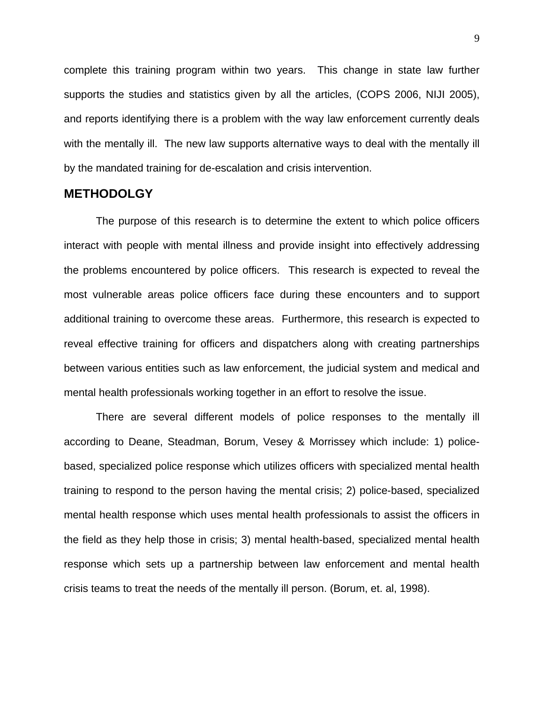complete this training program within two years. This change in state law further supports the studies and statistics given by all the articles, (COPS 2006, NIJI 2005), and reports identifying there is a problem with the way law enforcement currently deals with the mentally ill. The new law supports alternative ways to deal with the mentally ill by the mandated training for de-escalation and crisis intervention.

#### **METHODOLGY**

The purpose of this research is to determine the extent to which police officers interact with people with mental illness and provide insight into effectively addressing the problems encountered by police officers. This research is expected to reveal the most vulnerable areas police officers face during these encounters and to support additional training to overcome these areas. Furthermore, this research is expected to reveal effective training for officers and dispatchers along with creating partnerships between various entities such as law enforcement, the judicial system and medical and mental health professionals working together in an effort to resolve the issue.

There are several different models of police responses to the mentally ill according to Deane, Steadman, Borum, Vesey & Morrissey which include: 1) policebased, specialized police response which utilizes officers with specialized mental health training to respond to the person having the mental crisis; 2) police-based, specialized mental health response which uses mental health professionals to assist the officers in the field as they help those in crisis; 3) mental health-based, specialized mental health response which sets up a partnership between law enforcement and mental health crisis teams to treat the needs of the mentally ill person. (Borum, et. al, 1998).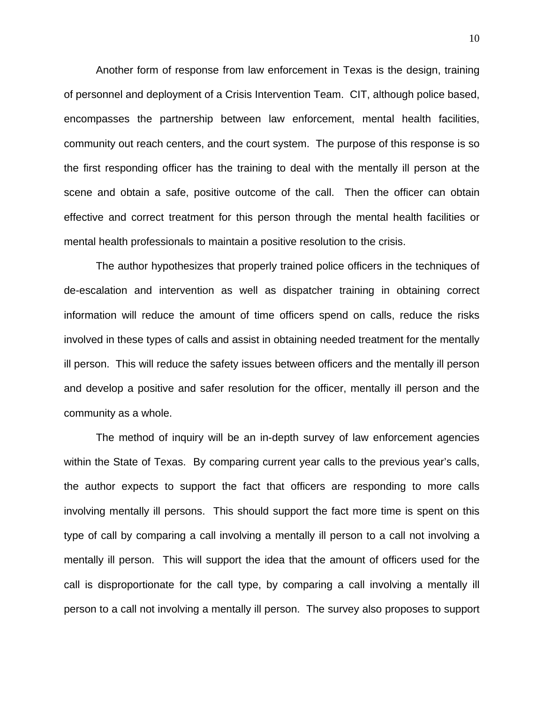Another form of response from law enforcement in Texas is the design, training of personnel and deployment of a Crisis Intervention Team. CIT, although police based, encompasses the partnership between law enforcement, mental health facilities, community out reach centers, and the court system. The purpose of this response is so the first responding officer has the training to deal with the mentally ill person at the scene and obtain a safe, positive outcome of the call. Then the officer can obtain effective and correct treatment for this person through the mental health facilities or mental health professionals to maintain a positive resolution to the crisis.

The author hypothesizes that properly trained police officers in the techniques of de-escalation and intervention as well as dispatcher training in obtaining correct information will reduce the amount of time officers spend on calls, reduce the risks involved in these types of calls and assist in obtaining needed treatment for the mentally ill person. This will reduce the safety issues between officers and the mentally ill person and develop a positive and safer resolution for the officer, mentally ill person and the community as a whole.

The method of inquiry will be an in-depth survey of law enforcement agencies within the State of Texas. By comparing current year calls to the previous year's calls, the author expects to support the fact that officers are responding to more calls involving mentally ill persons. This should support the fact more time is spent on this type of call by comparing a call involving a mentally ill person to a call not involving a mentally ill person. This will support the idea that the amount of officers used for the call is disproportionate for the call type, by comparing a call involving a mentally ill person to a call not involving a mentally ill person. The survey also proposes to support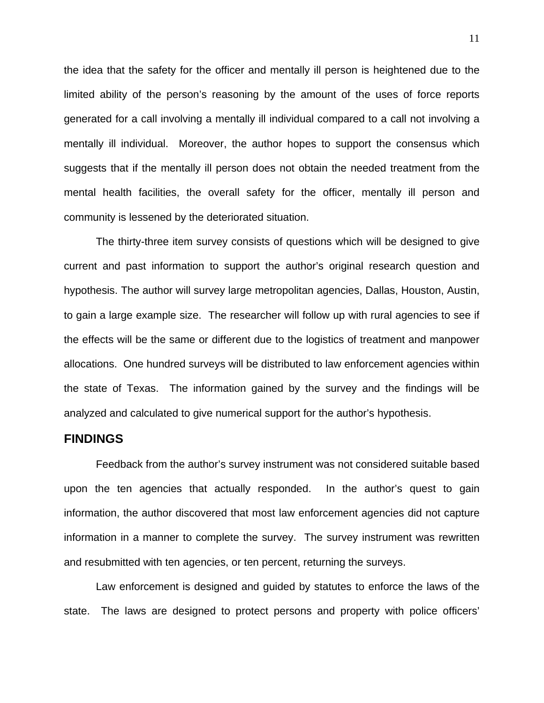the idea that the safety for the officer and mentally ill person is heightened due to the limited ability of the person's reasoning by the amount of the uses of force reports generated for a call involving a mentally ill individual compared to a call not involving a mentally ill individual. Moreover, the author hopes to support the consensus which suggests that if the mentally ill person does not obtain the needed treatment from the mental health facilities, the overall safety for the officer, mentally ill person and community is lessened by the deteriorated situation.

The thirty-three item survey consists of questions which will be designed to give current and past information to support the author's original research question and hypothesis. The author will survey large metropolitan agencies, Dallas, Houston, Austin, to gain a large example size. The researcher will follow up with rural agencies to see if the effects will be the same or different due to the logistics of treatment and manpower allocations. One hundred surveys will be distributed to law enforcement agencies within the state of Texas. The information gained by the survey and the findings will be analyzed and calculated to give numerical support for the author's hypothesis.

# **FINDINGS**

Feedback from the author's survey instrument was not considered suitable based upon the ten agencies that actually responded. In the author's quest to gain information, the author discovered that most law enforcement agencies did not capture information in a manner to complete the survey. The survey instrument was rewritten and resubmitted with ten agencies, or ten percent, returning the surveys.

Law enforcement is designed and guided by statutes to enforce the laws of the state. The laws are designed to protect persons and property with police officers'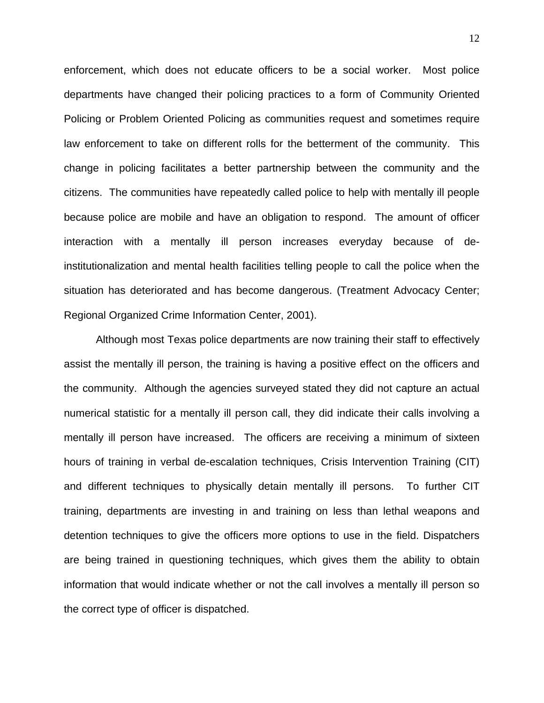enforcement, which does not educate officers to be a social worker. Most police departments have changed their policing practices to a form of Community Oriented Policing or Problem Oriented Policing as communities request and sometimes require law enforcement to take on different rolls for the betterment of the community. This change in policing facilitates a better partnership between the community and the citizens. The communities have repeatedly called police to help with mentally ill people because police are mobile and have an obligation to respond. The amount of officer interaction with a mentally ill person increases everyday because of deinstitutionalization and mental health facilities telling people to call the police when the situation has deteriorated and has become dangerous. (Treatment Advocacy Center; Regional Organized Crime Information Center, 2001).

Although most Texas police departments are now training their staff to effectively assist the mentally ill person, the training is having a positive effect on the officers and the community. Although the agencies surveyed stated they did not capture an actual numerical statistic for a mentally ill person call, they did indicate their calls involving a mentally ill person have increased. The officers are receiving a minimum of sixteen hours of training in verbal de-escalation techniques, Crisis Intervention Training (CIT) and different techniques to physically detain mentally ill persons. To further CIT training, departments are investing in and training on less than lethal weapons and detention techniques to give the officers more options to use in the field. Dispatchers are being trained in questioning techniques, which gives them the ability to obtain information that would indicate whether or not the call involves a mentally ill person so the correct type of officer is dispatched.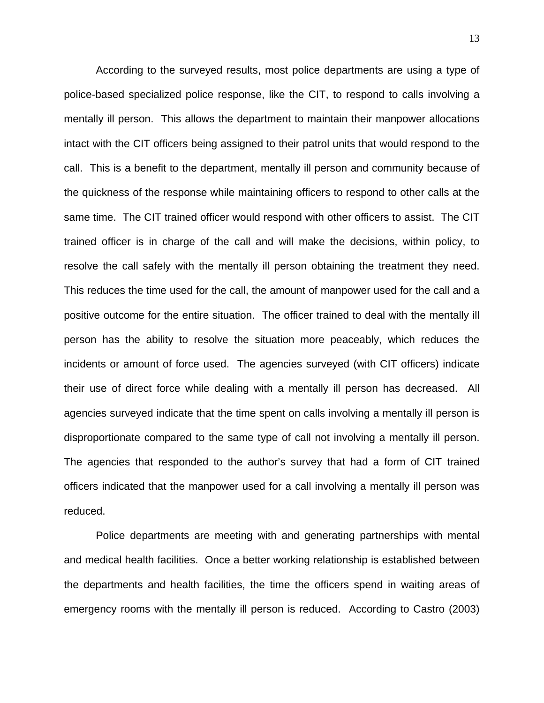According to the surveyed results, most police departments are using a type of police-based specialized police response, like the CIT, to respond to calls involving a mentally ill person. This allows the department to maintain their manpower allocations intact with the CIT officers being assigned to their patrol units that would respond to the call. This is a benefit to the department, mentally ill person and community because of the quickness of the response while maintaining officers to respond to other calls at the same time. The CIT trained officer would respond with other officers to assist. The CIT trained officer is in charge of the call and will make the decisions, within policy, to resolve the call safely with the mentally ill person obtaining the treatment they need. This reduces the time used for the call, the amount of manpower used for the call and a positive outcome for the entire situation. The officer trained to deal with the mentally ill person has the ability to resolve the situation more peaceably, which reduces the incidents or amount of force used. The agencies surveyed (with CIT officers) indicate their use of direct force while dealing with a mentally ill person has decreased. All agencies surveyed indicate that the time spent on calls involving a mentally ill person is disproportionate compared to the same type of call not involving a mentally ill person. The agencies that responded to the author's survey that had a form of CIT trained officers indicated that the manpower used for a call involving a mentally ill person was reduced.

Police departments are meeting with and generating partnerships with mental and medical health facilities. Once a better working relationship is established between the departments and health facilities, the time the officers spend in waiting areas of emergency rooms with the mentally ill person is reduced. According to Castro (2003)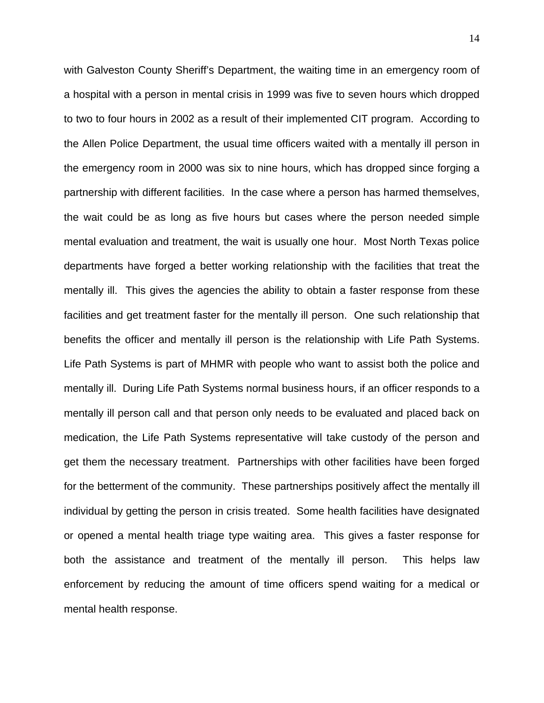with Galveston County Sheriff's Department, the waiting time in an emergency room of a hospital with a person in mental crisis in 1999 was five to seven hours which dropped to two to four hours in 2002 as a result of their implemented CIT program. According to the Allen Police Department, the usual time officers waited with a mentally ill person in the emergency room in 2000 was six to nine hours, which has dropped since forging a partnership with different facilities. In the case where a person has harmed themselves, the wait could be as long as five hours but cases where the person needed simple mental evaluation and treatment, the wait is usually one hour. Most North Texas police departments have forged a better working relationship with the facilities that treat the mentally ill. This gives the agencies the ability to obtain a faster response from these facilities and get treatment faster for the mentally ill person. One such relationship that benefits the officer and mentally ill person is the relationship with Life Path Systems. Life Path Systems is part of MHMR with people who want to assist both the police and mentally ill. During Life Path Systems normal business hours, if an officer responds to a mentally ill person call and that person only needs to be evaluated and placed back on medication, the Life Path Systems representative will take custody of the person and get them the necessary treatment. Partnerships with other facilities have been forged for the betterment of the community. These partnerships positively affect the mentally ill individual by getting the person in crisis treated. Some health facilities have designated or opened a mental health triage type waiting area. This gives a faster response for both the assistance and treatment of the mentally ill person. This helps law enforcement by reducing the amount of time officers spend waiting for a medical or mental health response.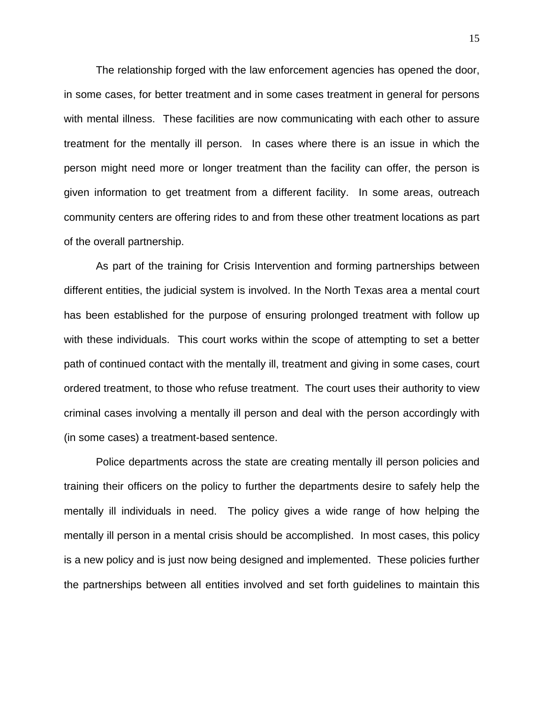The relationship forged with the law enforcement agencies has opened the door, in some cases, for better treatment and in some cases treatment in general for persons with mental illness. These facilities are now communicating with each other to assure treatment for the mentally ill person. In cases where there is an issue in which the person might need more or longer treatment than the facility can offer, the person is given information to get treatment from a different facility. In some areas, outreach community centers are offering rides to and from these other treatment locations as part of the overall partnership.

As part of the training for Crisis Intervention and forming partnerships between different entities, the judicial system is involved. In the North Texas area a mental court has been established for the purpose of ensuring prolonged treatment with follow up with these individuals. This court works within the scope of attempting to set a better path of continued contact with the mentally ill, treatment and giving in some cases, court ordered treatment, to those who refuse treatment. The court uses their authority to view criminal cases involving a mentally ill person and deal with the person accordingly with (in some cases) a treatment-based sentence.

Police departments across the state are creating mentally ill person policies and training their officers on the policy to further the departments desire to safely help the mentally ill individuals in need. The policy gives a wide range of how helping the mentally ill person in a mental crisis should be accomplished. In most cases, this policy is a new policy and is just now being designed and implemented. These policies further the partnerships between all entities involved and set forth guidelines to maintain this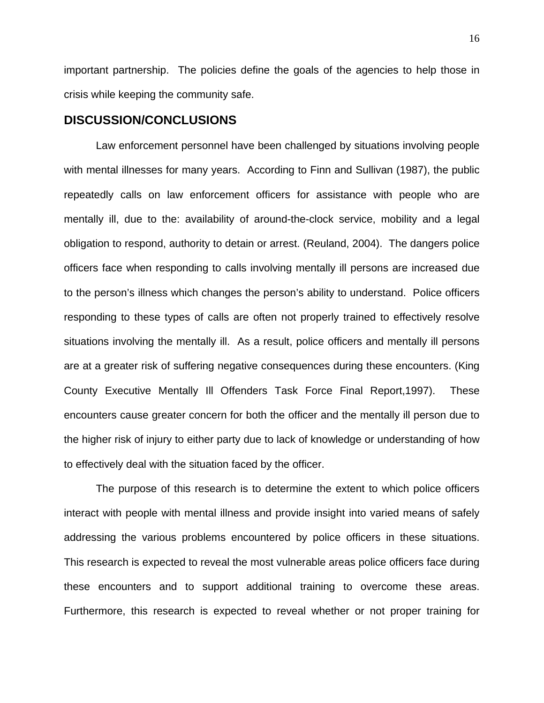important partnership. The policies define the goals of the agencies to help those in crisis while keeping the community safe.

# **DISCUSSION/CONCLUSIONS**

Law enforcement personnel have been challenged by situations involving people with mental illnesses for many years. According to Finn and Sullivan (1987), the public repeatedly calls on law enforcement officers for assistance with people who are mentally ill, due to the: availability of around-the-clock service, mobility and a legal obligation to respond, authority to detain or arrest. (Reuland, 2004). The dangers police officers face when responding to calls involving mentally ill persons are increased due to the person's illness which changes the person's ability to understand. Police officers responding to these types of calls are often not properly trained to effectively resolve situations involving the mentally ill. As a result, police officers and mentally ill persons are at a greater risk of suffering negative consequences during these encounters. (King County Executive Mentally Ill Offenders Task Force Final Report,1997). These encounters cause greater concern for both the officer and the mentally ill person due to the higher risk of injury to either party due to lack of knowledge or understanding of how to effectively deal with the situation faced by the officer.

The purpose of this research is to determine the extent to which police officers interact with people with mental illness and provide insight into varied means of safely addressing the various problems encountered by police officers in these situations. This research is expected to reveal the most vulnerable areas police officers face during these encounters and to support additional training to overcome these areas. Furthermore, this research is expected to reveal whether or not proper training for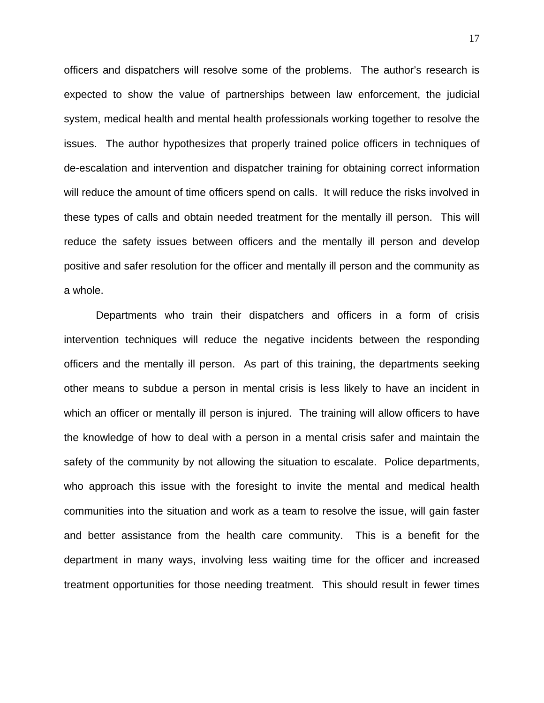officers and dispatchers will resolve some of the problems. The author's research is expected to show the value of partnerships between law enforcement, the judicial system, medical health and mental health professionals working together to resolve the issues. The author hypothesizes that properly trained police officers in techniques of de-escalation and intervention and dispatcher training for obtaining correct information will reduce the amount of time officers spend on calls. It will reduce the risks involved in these types of calls and obtain needed treatment for the mentally ill person. This will reduce the safety issues between officers and the mentally ill person and develop positive and safer resolution for the officer and mentally ill person and the community as a whole.

Departments who train their dispatchers and officers in a form of crisis intervention techniques will reduce the negative incidents between the responding officers and the mentally ill person. As part of this training, the departments seeking other means to subdue a person in mental crisis is less likely to have an incident in which an officer or mentally ill person is injured. The training will allow officers to have the knowledge of how to deal with a person in a mental crisis safer and maintain the safety of the community by not allowing the situation to escalate. Police departments, who approach this issue with the foresight to invite the mental and medical health communities into the situation and work as a team to resolve the issue, will gain faster and better assistance from the health care community. This is a benefit for the department in many ways, involving less waiting time for the officer and increased treatment opportunities for those needing treatment. This should result in fewer times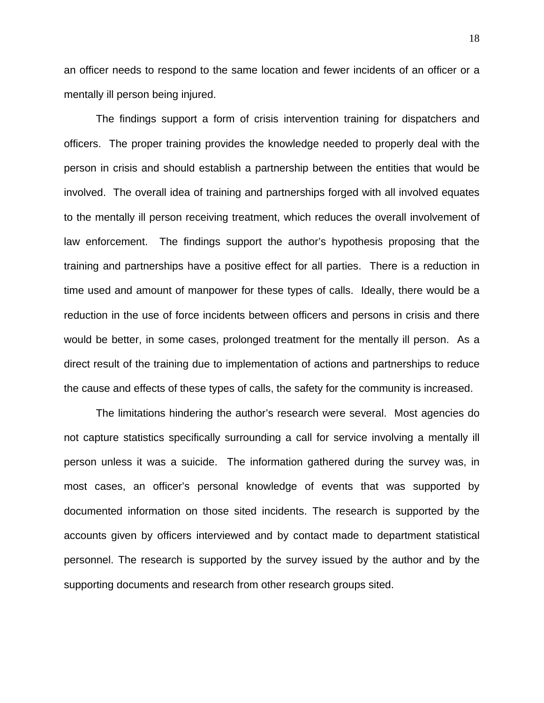an officer needs to respond to the same location and fewer incidents of an officer or a mentally ill person being injured.

The findings support a form of crisis intervention training for dispatchers and officers. The proper training provides the knowledge needed to properly deal with the person in crisis and should establish a partnership between the entities that would be involved. The overall idea of training and partnerships forged with all involved equates to the mentally ill person receiving treatment, which reduces the overall involvement of law enforcement. The findings support the author's hypothesis proposing that the training and partnerships have a positive effect for all parties. There is a reduction in time used and amount of manpower for these types of calls. Ideally, there would be a reduction in the use of force incidents between officers and persons in crisis and there would be better, in some cases, prolonged treatment for the mentally ill person. As a direct result of the training due to implementation of actions and partnerships to reduce the cause and effects of these types of calls, the safety for the community is increased.

The limitations hindering the author's research were several. Most agencies do not capture statistics specifically surrounding a call for service involving a mentally ill person unless it was a suicide. The information gathered during the survey was, in most cases, an officer's personal knowledge of events that was supported by documented information on those sited incidents. The research is supported by the accounts given by officers interviewed and by contact made to department statistical personnel. The research is supported by the survey issued by the author and by the supporting documents and research from other research groups sited.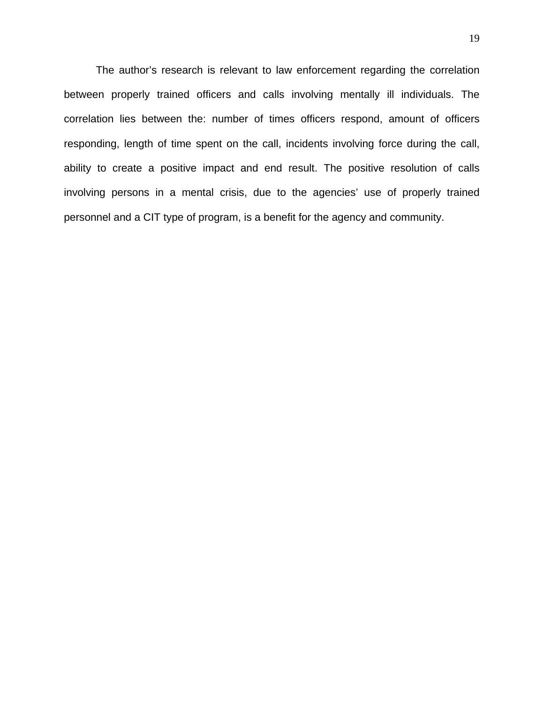The author's research is relevant to law enforcement regarding the correlation between properly trained officers and calls involving mentally ill individuals. The correlation lies between the: number of times officers respond, amount of officers responding, length of time spent on the call, incidents involving force during the call, ability to create a positive impact and end result. The positive resolution of calls involving persons in a mental crisis, due to the agencies' use of properly trained personnel and a CIT type of program, is a benefit for the agency and community.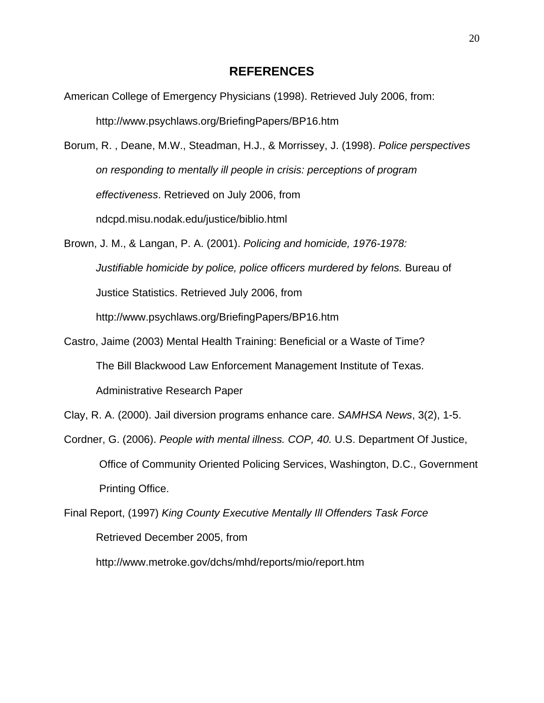# **REFERENCES**

American College of Emergency Physicians (1998). Retrieved July 2006, from: http://www.psychlaws.org/BriefingPapers/BP16.htm

Borum, R. , Deane, M.W., Steadman, H.J., & Morrissey, J. (1998). *Police perspectives on responding to mentally ill people in crisis: perceptions of program effectiveness*. Retrieved on July 2006, from ndcpd.misu.nodak.edu/justice/biblio.html

Brown, J. M., & Langan, P. A. (2001). *Policing and homicide, 1976-1978: Justifiable homicide by police, police officers murdered by felons.* Bureau of Justice Statistics. Retrieved July 2006, from http://www.psychlaws.org/BriefingPapers/BP16.htm

Castro, Jaime (2003) Mental Health Training: Beneficial or a Waste of Time? The Bill Blackwood Law Enforcement Management Institute of Texas. Administrative Research Paper

Clay, R. A. (2000). Jail diversion programs enhance care. *SAMHSA News*, 3(2), 1-5.

Cordner, G. (2006). *People with mental illness. COP, 40.* U.S. Department Of Justice, Office of Community Oriented Policing Services, Washington, D.C., Government Printing Office.

Final Report, (1997) *King County Executive Mentally Ill Offenders Task Force*  Retrieved December 2005, from

http://www.metroke.gov/dchs/mhd/reports/mio/report.htm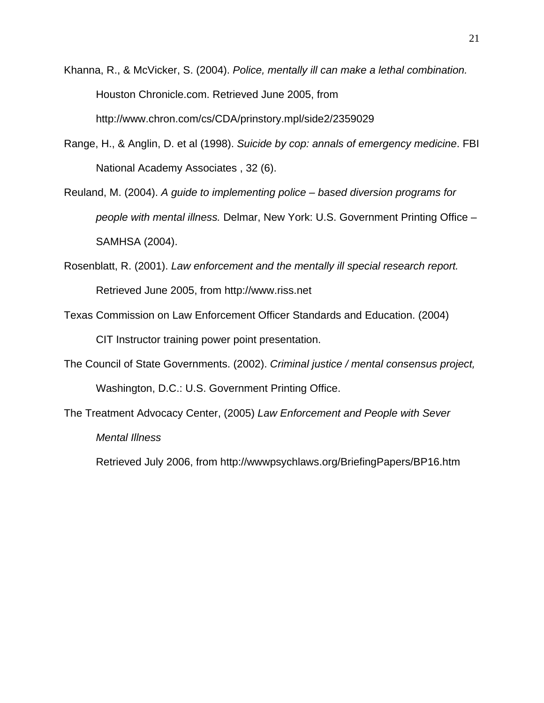- Khanna, R., & McVicker, S. (2004). *Police, mentally ill can make a lethal combination.*  Houston Chronicle.com. Retrieved June 2005, from http://www.chron.com/cs/CDA/prinstory.mpl/side2/2359029
- Range, H., & Anglin, D. et al (1998). *Suicide by cop: annals of emergency medicine*. FBI National Academy Associates , 32 (6).
- Reuland, M. (2004). *A guide to implementing police based diversion programs for people with mental illness.* Delmar, New York: U.S. Government Printing Office – SAMHSA (2004).
- Rosenblatt, R. (2001). *Law enforcement and the mentally ill special research report.*  Retrieved June 2005, from http://www.riss.net
- Texas Commission on Law Enforcement Officer Standards and Education. (2004) CIT Instructor training power point presentation.
- The Council of State Governments. (2002). *Criminal justice / mental consensus project,*  Washington, D.C.: U.S. Government Printing Office.
- The Treatment Advocacy Center, (2005) *Law Enforcement and People with Sever Mental Illness*

Retrieved July 2006, from http://wwwpsychlaws.org/BriefingPapers/BP16.htm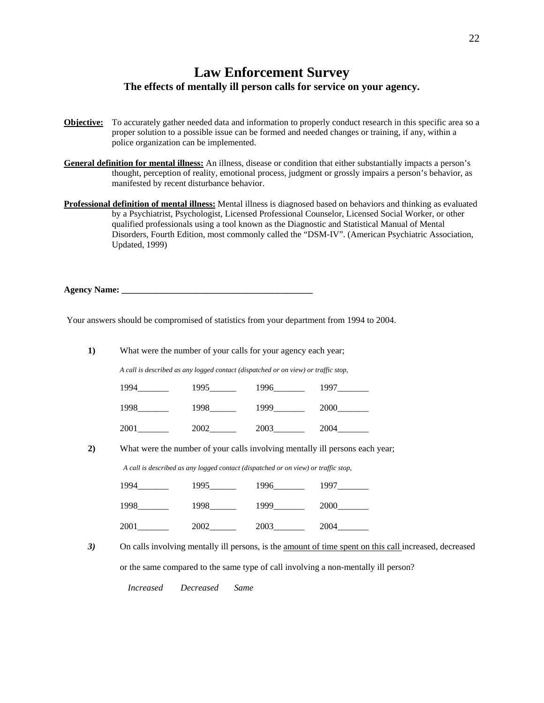# **Law Enforcement Survey The effects of mentally ill person calls for service on your agency.**

- **Objective:** To accurately gather needed data and information to properly conduct research in this specific area so a proper solution to a possible issue can be formed and needed changes or training, if any, within a police organization can be implemented.
- **General definition for mental illness:** An illness, disease or condition that either substantially impacts a person's thought, perception of reality, emotional process, judgment or grossly impairs a person's behavior, as manifested by recent disturbance behavior.
- **Professional definition of mental illness:** Mental illness is diagnosed based on behaviors and thinking as evaluated by a Psychiatrist, Psychologist, Licensed Professional Counselor, Licensed Social Worker, or other qualified professionals using a tool known as the Diagnostic and Statistical Manual of Mental Disorders, Fourth Edition, most commonly called the "DSM-IV". (American Psychiatric Association, Updated, 1999)

**Agency Name: \_\_\_\_\_\_\_\_\_\_\_\_\_\_\_\_\_\_\_\_\_\_\_\_\_\_\_\_\_\_\_\_\_\_\_\_\_\_\_\_\_\_\_** 

Your answers should be compromised of statistics from your department from 1994 to 2004.

**1)** What were the number of your calls for your agency each year;

*A call is described as any logged contact (dispatched or on view) or traffic stop,* 

| 1994 | 1995 | 1996 | 1997 |
|------|------|------|------|
| 1998 | 1998 | 1999 | 2000 |
| 2001 | 2002 | 2003 | 2004 |

**2)** What were the number of your calls involving mentally ill persons each year;

*A call is described as any logged contact (dispatched or on view) or traffic stop,*

| 1994 | 1995 | 1996 | 1997 |
|------|------|------|------|
| 1998 | 1998 | 1999 | 2000 |
| 2001 | 2002 | 2003 | 2004 |

3) On calls involving mentally ill persons, is the <u>amount of time spent on this call</u> increased, decreased or the same compared to the same type of call involving a non-mentally ill person?

*Increased Decreased Same*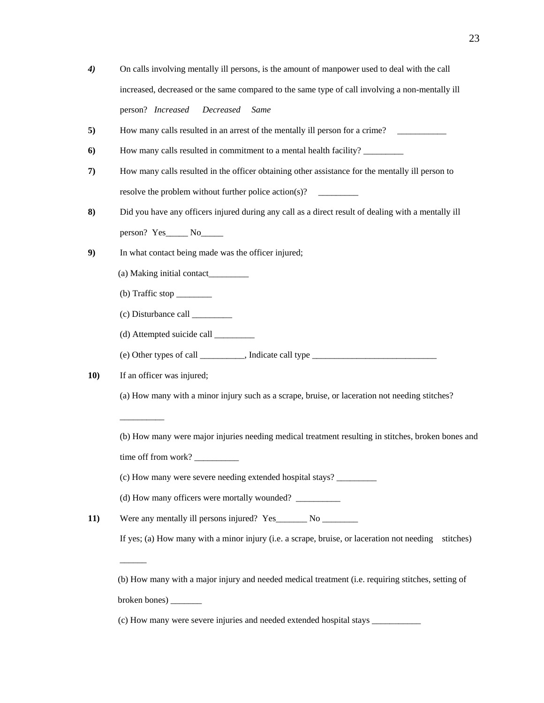- *4)* On calls involving mentally ill persons, is the amount of manpower used to deal with the call increased, decreased or the same compared to the same type of call involving a non-mentally ill person? *Increased Decreased Same*
- **5)** How many calls resulted in an arrest of the mentally ill person for a crime? \_\_\_\_\_\_\_\_\_\_\_

**6)** How many calls resulted in commitment to a mental health facility? \_\_\_\_\_\_\_\_\_

- **7)** How many calls resulted in the officer obtaining other assistance for the mentally ill person to resolve the problem without further police action(s)?
- **8)** Did you have any officers injured during any call as a direct result of dealing with a mentally ill person? Yes\_\_\_\_\_\_ No\_\_\_\_\_\_
- **9)** In what contact being made was the officer injured;
	- (a) Making initial contact\_\_\_\_\_\_\_\_\_
	- $(b)$  Traffic stop  $\qquad \qquad$
	- (c) Disturbance call \_\_\_\_\_\_\_\_\_
	- (d) Attempted suicide call \_\_\_\_\_\_\_\_\_

(e) Other types of call \_\_\_\_\_\_\_\_\_\_, Indicate call type \_\_\_\_\_\_\_\_\_\_\_\_\_\_\_\_\_\_\_\_\_\_\_\_\_\_\_\_

**10)** If an officer was injured;

 $\overline{\phantom{a}}$  ,  $\overline{\phantom{a}}$  ,  $\overline{\phantom{a}}$  ,  $\overline{\phantom{a}}$  ,  $\overline{\phantom{a}}$  ,  $\overline{\phantom{a}}$  ,  $\overline{\phantom{a}}$  ,  $\overline{\phantom{a}}$  ,  $\overline{\phantom{a}}$  ,  $\overline{\phantom{a}}$  ,  $\overline{\phantom{a}}$  ,  $\overline{\phantom{a}}$  ,  $\overline{\phantom{a}}$  ,  $\overline{\phantom{a}}$  ,  $\overline{\phantom{a}}$  ,  $\overline{\phantom{a}}$ 

 $\overline{\phantom{a}}$ 

- (a) How many with a minor injury such as a scrape, bruise, or laceration not needing stitches?
- (b) How many were major injuries needing medical treatment resulting in stitches, broken bones and
- time off from work?

(c) How many were severe needing extended hospital stays? \_\_\_\_\_\_\_\_\_

(d) How many officers were mortally wounded? \_\_\_\_\_\_\_\_\_\_

11) Were any mentally ill persons injured? Yes\_\_\_\_\_\_\_ No \_\_\_\_\_\_\_\_\_

If yes; (a) How many with a minor injury (i.e. a scrape, bruise, or laceration not needing stitches)

(b) How many with a major injury and needed medical treatment (i.e. requiring stitches, setting of broken bones) \_\_\_\_\_\_\_

(c) How many were severe injuries and needed extended hospital stays \_\_\_\_\_\_\_\_\_\_\_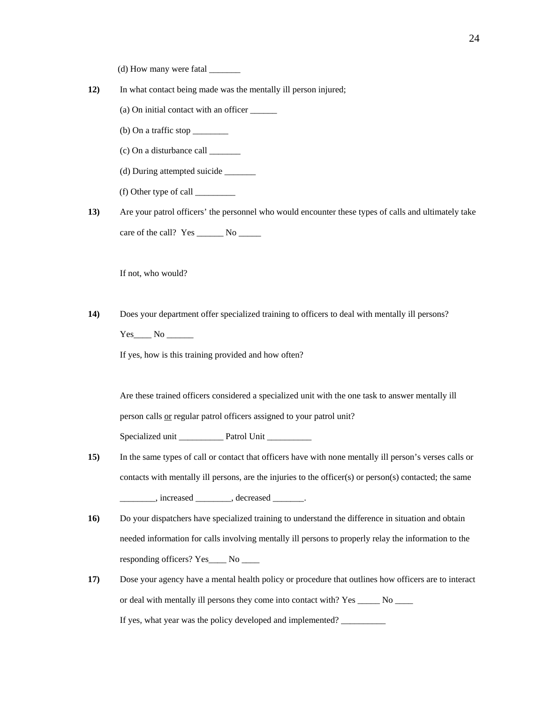- $(d)$  How many were fatal  $\frac{d}{d}$
- **12)** In what contact being made was the mentally ill person injured;
	- (a) On initial contact with an officer \_\_\_\_\_\_
	- $(b)$  On a traffic stop  $\_\_\_\_\_\_\_\_\_\_\_\_\_\_\_\_\_\_\_\_$
	- (c) On a disturbance call \_\_\_\_\_\_\_
	- (d) During attempted suicide \_\_\_\_\_\_\_
	- (f) Other type of call \_\_\_\_\_\_\_\_\_

**13)** Are your patrol officers' the personnel who would encounter these types of calls and ultimately take care of the call? Yes \_\_\_\_\_\_\_ No \_\_\_\_\_\_

If not, who would?

**14)** Does your department offer specialized training to officers to deal with mentally ill persons? Yes No

If yes, how is this training provided and how often?

Are these trained officers considered a specialized unit with the one task to answer mentally ill person calls or regular patrol officers assigned to your patrol unit?

Specialized unit \_\_\_\_\_\_\_\_\_\_\_\_\_ Patrol Unit \_\_\_\_\_\_\_\_\_\_\_\_

- **15)** In the same types of call or contact that officers have with none mentally ill person's verses calls or contacts with mentally ill persons, are the injuries to the officer(s) or person(s) contacted; the same \_\_\_\_\_\_\_\_, increased \_\_\_\_\_\_\_\_, decreased \_\_\_\_\_\_\_.
- 16) Do your dispatchers have specialized training to understand the difference in situation and obtain needed information for calls involving mentally ill persons to properly relay the information to the responding officers? Yes\_\_\_\_ No \_\_\_\_
- **17)** Dose your agency have a mental health policy or procedure that outlines how officers are to interact or deal with mentally ill persons they come into contact with? Yes \_\_\_\_\_ No \_\_\_\_ If yes, what year was the policy developed and implemented? \_\_\_\_\_\_\_\_\_\_